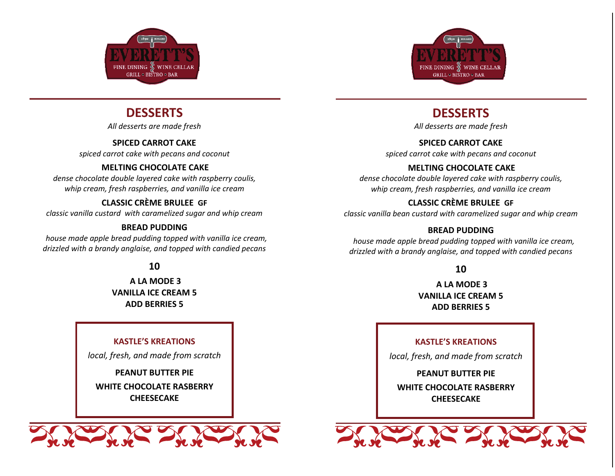

# **DESSERTS**

*All desserts are made fresh* 

# **SPICED CARROT CAKE**

*spiced carrot cake with pecans and coconut* 

## **MELTING CHOCOLATE CAKE**

*dense chocolate double layered cake with raspberry coulis, whip cream, fresh raspberries, and vanilla ice cream* 

## **CLASSIC CRÈME BRULEE GF**

*classic vanilla custard with caramelized sugar and whip cream* 

### **BREAD PUDDING**

 *house made apple bread pudding topped with vanilla ice cream, drizzled with a brandy anglaise, and topped with candied pecans*

## **10**

 **A LA MODE 3 VANILLA ICE CREAM 5 ADD BERRIES 5** 

### **KASTLE'S KREATIONS**

*local, fresh, and made from scratch* 

**PEANUT BUTTER PIE** 

**WHITE CHOCOLATE RASBERRY CHEESECAKE**